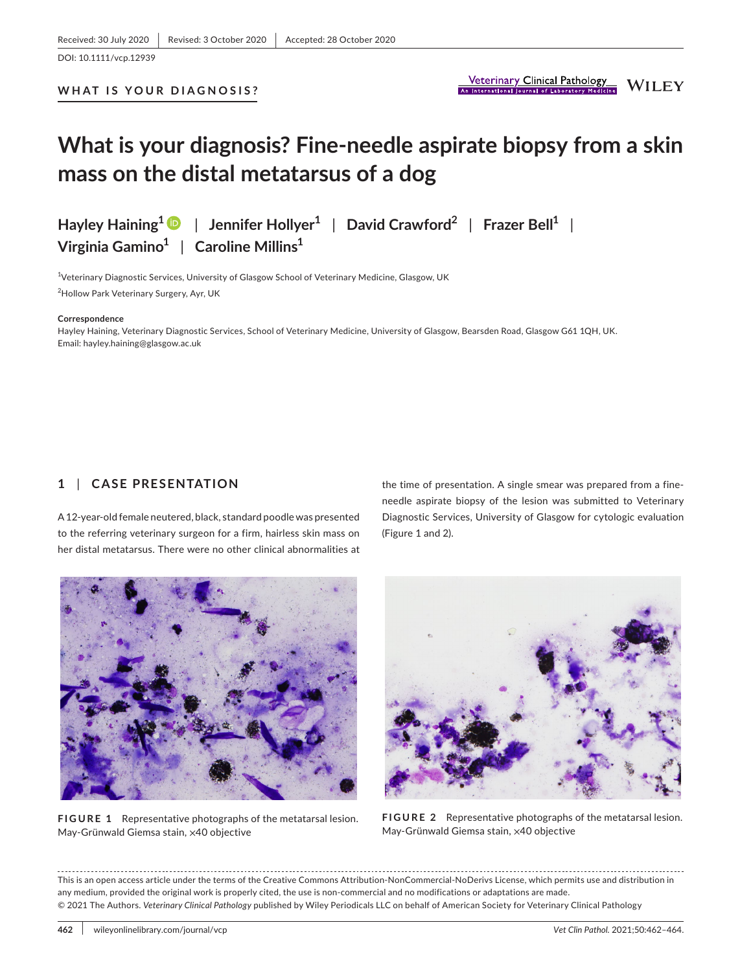**WHAT IS YOUR DIAGNOSIS?**

# **What is your diagnosis? Fine-needle aspirate biopsy from a skin mass on the distal metatarsus of a dog**

**Hayley Haining[1](https://orcid.org/0000-0002-6738-0189)** | **Jennifer Hollyer1** | **David Crawford2** | **Frazer Bell1** | **Virginia Gamino1** | **Caroline Millins1**

<sup>1</sup>Veterinary Diagnostic Services, University of Glasgow School of Veterinary Medicine, Glasgow, UK 2 Hollow Park Veterinary Surgery, Ayr, UK

#### **Correspondence**

Hayley Haining, Veterinary Diagnostic Services, School of Veterinary Medicine, University of Glasgow, Bearsden Road, Glasgow G61 1QH, UK. Email: [hayley.haining@glasgow.ac.uk](mailto:hayley.haining@glasgow.ac.uk)

#### **1** | **CASE PRESENTATION**

A 12-year-old female neutered, black, standard poodle was presented to the referring veterinary surgeon for a firm, hairless skin mass on her distal metatarsus. There were no other clinical abnormalities at

the time of presentation. A single smear was prepared from a fineneedle aspirate biopsy of the lesion was submitted to Veterinary Diagnostic Services, University of Glasgow for cytologic evaluation (Figure 1 and 2).



**FIGURE 1** Representative photographs of the metatarsal lesion. May-Grünwald Giemsa stain, ×40 objective



**FIGURE 2** Representative photographs of the metatarsal lesion. May-Grünwald Giemsa stain, ×40 objective

This is an open access article under the terms of the [Creative Commons Attribution-NonCommercial-NoDerivs](http://creativecommons.org/licenses/by-nc-nd/4.0/) License, which permits use and distribution in any medium, provided the original work is properly cited, the use is non-commercial and no modifications or adaptations are made. © 2021 The Authors. *Veterinary Clinical Pathology* published by Wiley Periodicals LLC on behalf of American Society for Veterinary Clinical Pathology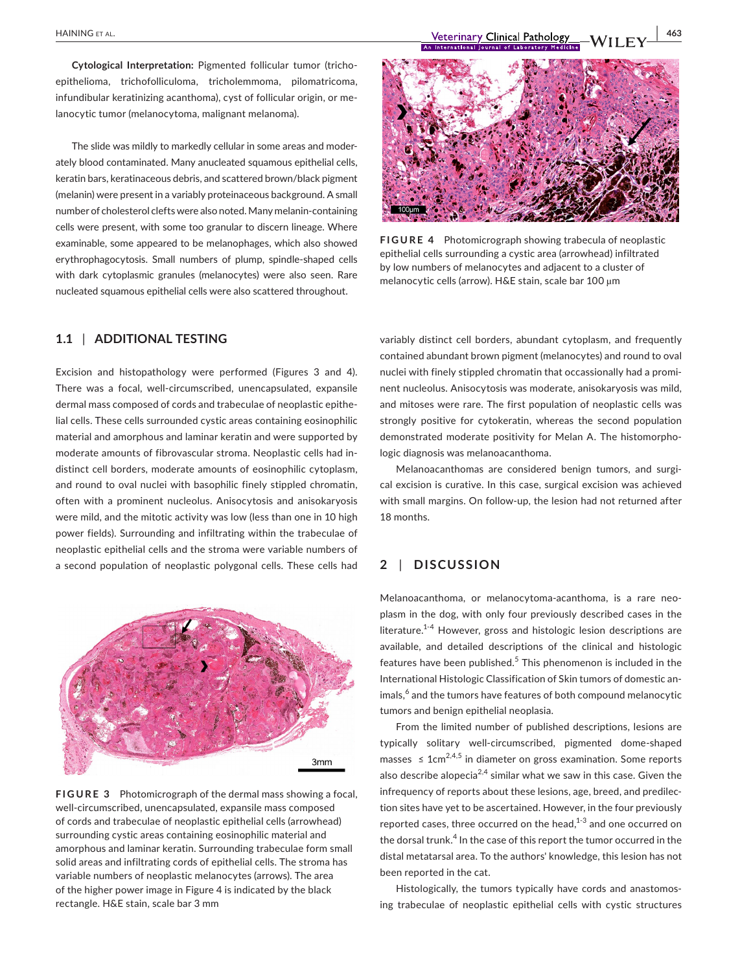**Cytological Interpretation:** Pigmented follicular tumor (trichoepithelioma, trichofolliculoma, tricholemmoma, pilomatricoma, infundibular keratinizing acanthoma), cyst of follicular origin, or melanocytic tumor (melanocytoma, malignant melanoma).

The slide was mildly to markedly cellular in some areas and moderately blood contaminated. Many anucleated squamous epithelial cells, keratin bars, keratinaceous debris, and scattered brown/black pigment (melanin) were present in a variably proteinaceous background. A small number of cholesterol clefts were also noted. Many melanin-containing cells were present, with some too granular to discern lineage. Where examinable, some appeared to be melanophages, which also showed erythrophagocytosis. Small numbers of plump, spindle-shaped cells with dark cytoplasmic granules (melanocytes) were also seen. Rare nucleated squamous epithelial cells were also scattered throughout.

## **1.1** | **ADDITIONAL TESTING**

Excision and histopathology were performed (Figures 3 and 4). There was a focal, well-circumscribed, unencapsulated, expansile dermal mass composed of cords and trabeculae of neoplastic epithelial cells. These cells surrounded cystic areas containing eosinophilic material and amorphous and laminar keratin and were supported by moderate amounts of fibrovascular stroma. Neoplastic cells had indistinct cell borders, moderate amounts of eosinophilic cytoplasm, and round to oval nuclei with basophilic finely stippled chromatin, often with a prominent nucleolus. Anisocytosis and anisokaryosis were mild, and the mitotic activity was low (less than one in 10 high power fields). Surrounding and infiltrating within the trabeculae of neoplastic epithelial cells and the stroma were variable numbers of a second population of neoplastic polygonal cells. These cells had



**FIGURE 3** Photomicrograph of the dermal mass showing a focal, well-circumscribed, unencapsulated, expansile mass composed of cords and trabeculae of neoplastic epithelial cells (arrowhead) surrounding cystic areas containing eosinophilic material and amorphous and laminar keratin. Surrounding trabeculae form small solid areas and infiltrating cords of epithelial cells. The stroma has variable numbers of neoplastic melanocytes (arrows). The area of the higher power image in Figure 4 is indicated by the black rectangle. H&E stain, scale bar 3 mm



**FIGURE 4** Photomicrograph showing trabecula of neoplastic epithelial cells surrounding a cystic area (arrowhead) infiltrated by low numbers of melanocytes and adjacent to a cluster of melanocytic cells (arrow). H&E stain, scale bar 100 µm

variably distinct cell borders, abundant cytoplasm, and frequently contained abundant brown pigment (melanocytes) and round to oval nuclei with finely stippled chromatin that occassionally had a prominent nucleolus. Anisocytosis was moderate, anisokaryosis was mild, and mitoses were rare. The first population of neoplastic cells was strongly positive for cytokeratin, whereas the second population demonstrated moderate positivity for Melan A. The histomorphologic diagnosis was melanoacanthoma.

Melanoacanthomas are considered benign tumors, and surgical excision is curative. In this case, surgical excision was achieved with small margins. On follow-up, the lesion had not returned after 18 months.

### **2** | **DISCUSSION**

Melanoacanthoma, or melanocytoma-acanthoma, is a rare neoplasm in the dog, with only four previously described cases in the literature.<sup>1-4</sup> However, gross and histologic lesion descriptions are available, and detailed descriptions of the clinical and histologic features have been published.<sup>5</sup> This phenomenon is included in the International Histologic Classification of Skin tumors of domestic animals,<sup>6</sup> and the tumors have features of both compound melanocytic tumors and benign epithelial neoplasia.

From the limited number of published descriptions, lesions are typically solitary well-circumscribed, pigmented dome-shaped masses  $\leq 1$ cm<sup>2,4,5</sup> in diameter on gross examination. Some reports also describe alopecia<sup>2,4</sup> similar what we saw in this case. Given the infrequency of reports about these lesions, age, breed, and predilection sites have yet to be ascertained. However, in the four previously reported cases, three occurred on the head, $1-3$  and one occurred on the dorsal trunk.<sup>4</sup> In the case of this report the tumor occurred in the distal metatarsal area. To the authors' knowledge, this lesion has not been reported in the cat.

Histologically, the tumors typically have cords and anastomosing trabeculae of neoplastic epithelial cells with cystic structures